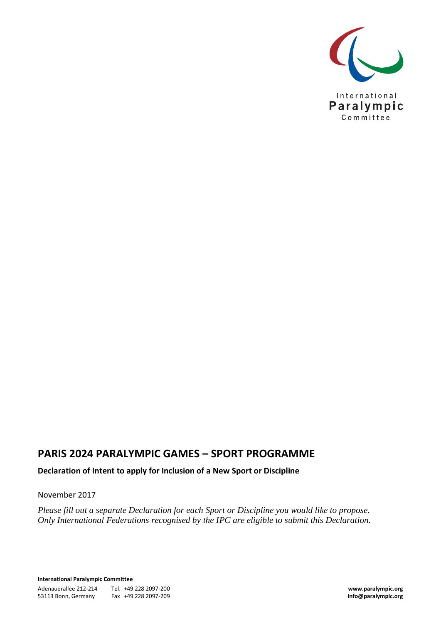

# **PARIS 2024 PARALYMPIC GAMES – SPORT PROGRAMME**

**Declaration of Intent to apply for Inclusion of a New Sport or Discipline**

#### November 2017

*Please fill out a separate Declaration for each Sport or Discipline you would like to propose. Only International Federations recognised by the IPC are eligible to submit this Declaration.*

**International Paralympic Committee** Adenauerallee 212-214 Tel. +49 228 2097-200 **www.paralympic.org** 53113 Bonn, Germany Fax +49 228 2097-209 **info@paralympic.org**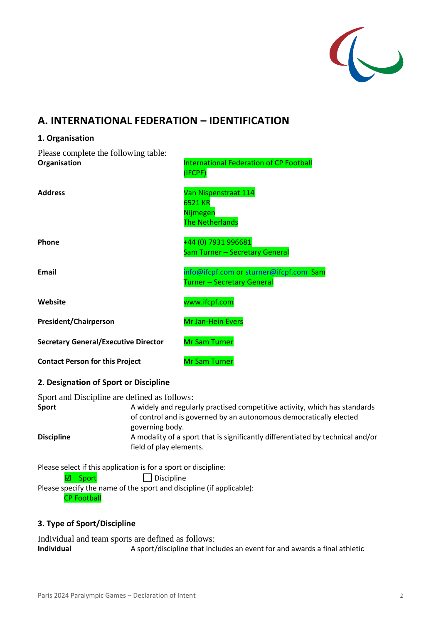

# **A. INTERNATIONAL FEDERATION – IDENTIFICATION**

# **1. Organisation** Please complete the following table: **Organisation International Federation of CP Football** (IFCPF) **Address** Van Nispenstraat 114 6521 KR Nijmegen The Netherlands **Phone** +44 (0) 7931 996681 Sam Turner – Secretary General **Email** [info@ifcpf.com](mailto:info@ifcpf.com) or [sturner@ifcpf.com](mailto:sturner@ifcpf.com) Sam Turner – Secretary General **Website** www.ifcpf.com **President/Chairperson** Mr Jan-Hein Evers **Secretary General/Executive Director Mr Sam Turner Contact Person for this Project** Mr Sam Turner

### **2. Designation of Sport or Discipline**

Sport and Discipline are defined as follows:

| <b>Sport</b>      | A widely and regularly practised competitive activity, which has standards                                |
|-------------------|-----------------------------------------------------------------------------------------------------------|
|                   | of control and is governed by an autonomous democratically elected                                        |
|                   | governing body.                                                                                           |
| <b>Discipline</b> | A modality of a sport that is significantly differentiated by technical and/or<br>field of play elements. |
|                   |                                                                                                           |

Please select if this application is for a sport or discipline:

### **☑ Sport** Discipline

Please specify the name of the sport and discipline (if applicable):

## CP Football

## **3. Type of Sport/Discipline**

Individual and team sports are defined as follows: **Individual** A sport/discipline that includes an event for and awards a final athletic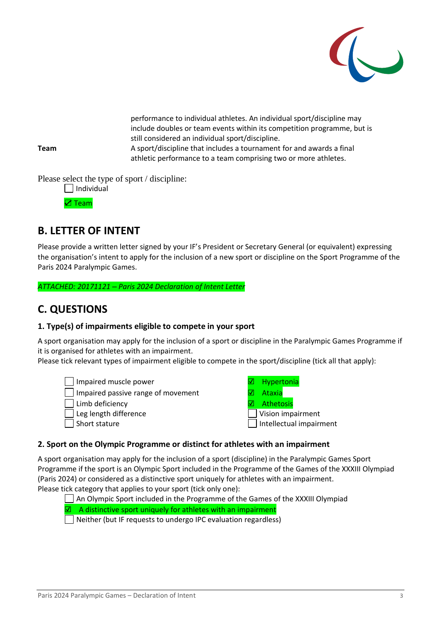

 performance to individual athletes. An individual sport/discipline may include doubles or team events within its competition programme, but is still considered an individual sport/discipline. A sport/discipline that includes a tournament for and awards a final

athletic performance to a team comprising two or more athletes.

**Team**

Please select the type of sport / discipline:

| Individual |  |
|------------|--|
|            |  |

☑ Team

# **B. LETTER OF INTENT**

Please provide a written letter signed by your IF's President or Secretary General (or equivalent) expressing the organisation's intent to apply for the inclusion of a new sport or discipline on the Sport Programme of the Paris 2024 Paralympic Games.

*ATTACHED: 20171121 – Paris 2024 Declaration of Intent Letter*

# **C. QUESTIONS**

## **1. Type(s) of impairments eligible to compete in your sport**

A sport organisation may apply for the inclusion of a sport or discipline in the Paralympic Games Programme if it is organised for athletes with an impairment.

Please tick relevant types of impairment eligible to compete in the sport/discipline (tick all that apply):

Impaired muscle power in the interval in the Manuscle power

- The lmpaired passive range of movement ■ ■ Ataxia
- Limb deficiency (and a set of a set of a set of a set of a set of a set of a set of a set of a set of a set of a set of a set of a set of a set of a set of a set of a set of a set of a set of a set of a set of a set of a
- Leg length difference **Vision** Vision impairment
- 
- 
- 
- 
- 
- Short stature  $\Box$  Intellectual impairment

### **2. Sport on the Olympic Programme or distinct for athletes with an impairment**

A sport organisation may apply for the inclusion of a sport (discipline) in the Paralympic Games Sport Programme if the sport is an Olympic Sport included in the Programme of the Games of the XXXIII Olympiad (Paris 2024) or considered as a distinctive sport uniquely for athletes with an impairment. Please tick category that applies to your sport (tick only one):

An Olympic Sport included in the Programme of the Games of the XXXIII Olympiad

☑ A distinctive sport uniquely for athletes with an impairment

Neither (but IF requests to undergo IPC evaluation regardless)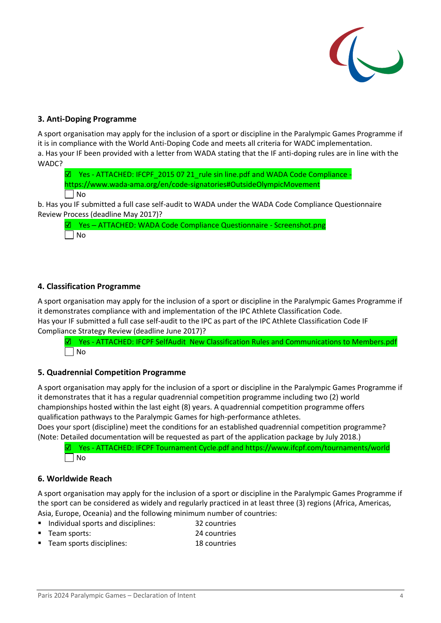

### **3. Anti-Doping Programme**

A sport organisation may apply for the inclusion of a sport or discipline in the Paralympic Games Programme if it is in compliance with the World Anti-Doping Code and meets all criteria for WADC implementation. a. Has your IF been provided with a letter from WADA stating that the IF anti-doping rules are in line with the WADC?

☑ Yes - ATTACHED: IFCPF\_2015 07 21\_rule sin line.pdf and WADA Code Compliance <https://www.wada-ama.org/en/code-signatories#OutsideOlympicMovement>  $\Box$  No

b. Has you IF submitted a full case self-audit to WADA under the WADA Code Compliance Questionnaire Review Process (deadline May 2017)?

☑ Yes – ATTACHED: WADA Code Compliance Questionnaire - Screenshot.png No

### **4. Classification Programme**

A sport organisation may apply for the inclusion of a sport or discipline in the Paralympic Games Programme if it demonstrates compliance with and implementation of the IPC Athlete Classification Code. Has your IF submitted a full case self-audit to the IPC as part of the IPC Athlete Classification Code IF Compliance Strategy Review (deadline June 2017)?

☑ Yes - ATTACHED: IFCPF SelfAudit New Classification Rules and Communications to Members.pdf No

### **5. Quadrennial Competition Programme**

A sport organisation may apply for the inclusion of a sport or discipline in the Paralympic Games Programme if it demonstrates that it has a regular quadrennial competition programme including two (2) world championships hosted within the last eight (8) years. A quadrennial competition programme offers qualification pathways to the Paralympic Games for high-performance athletes.

Does your sport (discipline) meet the conditions for an established quadrennial competition programme? (Note: Detailed documentation will be requested as part of the application package by July 2018.)

☑ Yes - ATTACHED: IFCPF Tournament Cycle.pdf and <https://www.ifcpf.com/tournaments/world> No

### **6. Worldwide Reach**

A sport organisation may apply for the inclusion of a sport or discipline in the Paralympic Games Programme if the sport can be considered as widely and regularly practiced in at least three (3) regions (Africa, Americas, Asia, Europe, Oceania) and the following minimum number of countries:

- Individual sports and disciplines: 32 countries
- Team sports: 24 countries
- Team sports disciplines: 18 countries